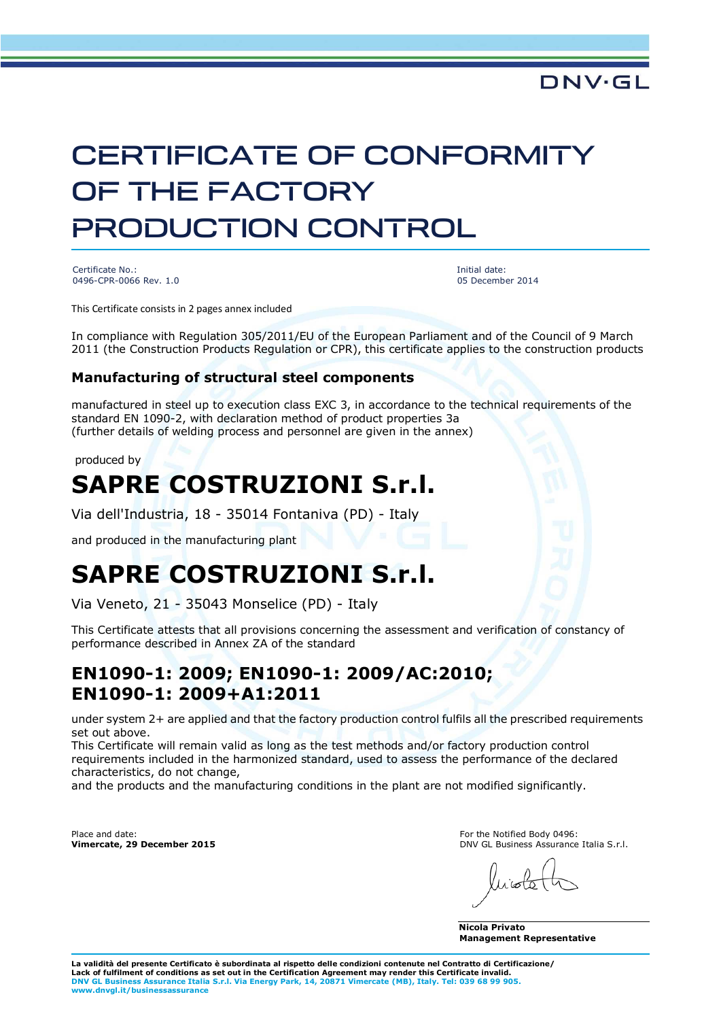# CERTIFICATE OF CONFORMITY OF THE FACTORY PRODUCTION CONTROL

Certificate No.: 0496-CPR-0066 Rev. 1.0 Initial date: 05 December 2014

**DNV·GL** 

This Certificate consists in 2 pages annex included

In compliance with Regulation 305/2011/EU of the European Parliament and of the Council of 9 March 2011 (the Construction Products Regulation or CPR), this certificate applies to the construction products

#### **Manufacturing of structural steel components**

manufactured in steel up to execution class EXC 3, in accordance to the technical requirements of the standard EN 1090-2, with declaration method of product properties 3a (further details of welding process and personnel are given in the annex)

produced by

### **SAPRE COSTRUZIONI S.r.l.**

Via dell'Industria, 18 - 35014 Fontaniva (PD) - Italy

and produced in the manufacturing plant

## **SAPRE COSTRUZIONI S.r.l.**

Via Veneto, 21 - 35043 Monselice (PD) - Italy

This Certificate attests that all provisions concerning the assessment and verification of constancy of performance described in Annex ZA of the standard

#### **EN1090-1: 2009; EN1090-1: 2009/AC:2010; EN1090-1: 2009+A1:2011**

under system 2+ are applied and that the factory production control fulfils all the prescribed requirements set out above.

This Certificate will remain valid as long as the test methods and/or factory production control requirements included in the harmonized standard, used to assess the performance of the declared characteristics, do not change,

and the products and the manufacturing conditions in the plant are not modified significantly.

Place and date: **Vimercate, 29 December 2015** For the Notified Body 0496: DNV GL Business Assurance Italia S.r.l.

 $l$ isto

**Nicola Privato Management Representative**

**La validità del presente Certificato è subordinata al rispetto delle condizioni contenute nel Contratto di Certificazione/ Lack of fulfilment of conditions as set out in the Certification Agreement may render this Certificate invalid. DNV GL Business Assurance Italia S.r.l. Via Energy Park, 14, 20871 Vimercate (MB), Italy. Tel: 039 68 99 905. www.dnvgl.it/businessassurance**